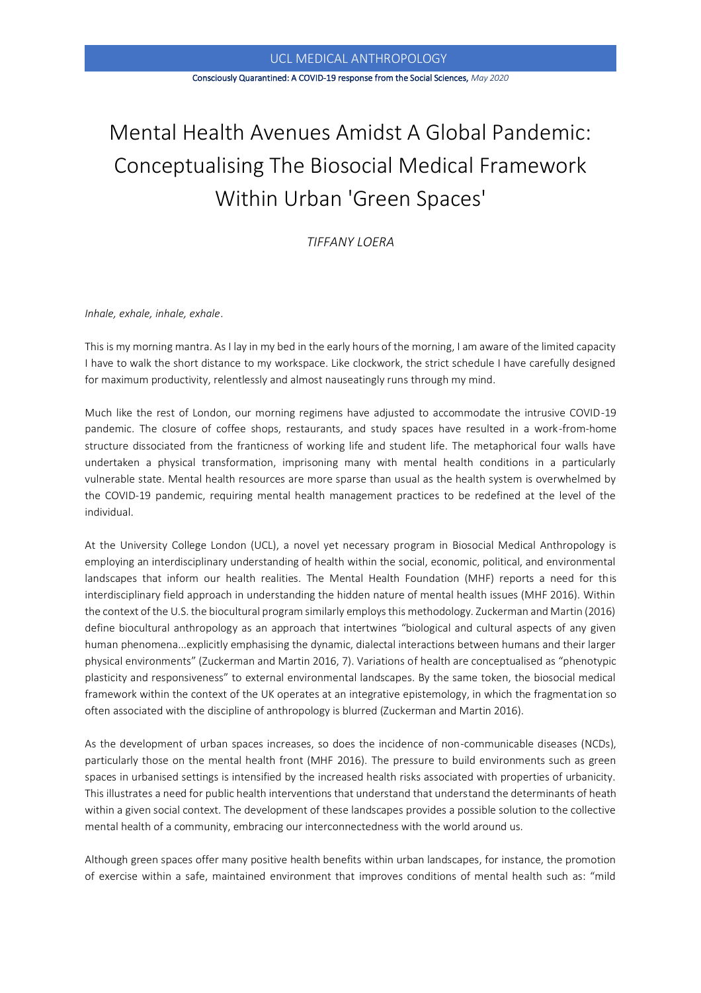#### Consciously Quarantined: A COVID-19 response from the Social Sciences, *May 2020*

# Mental Health Avenues Amidst A Global Pandemic: Conceptualising The Biosocial Medical Framework Within Urban 'Green Spaces'

*TIFFANY LOERA*

*Inhale, exhale, inhale, exhale*.

This is my morning mantra. As I lay in my bed in the early hours of the morning, I am aware of the limited capacity I have to walk the short distance to my workspace. Like clockwork, the strict schedule I have carefully designed for maximum productivity, relentlessly and almost nauseatingly runs through my mind.

Much like the rest of London, our morning regimens have adjusted to accommodate the intrusive COVID-19 pandemic. The closure of coffee shops, restaurants, and study spaces have resulted in a work-from-home structure dissociated from the franticness of working life and student life. The metaphorical four walls have undertaken a physical transformation, imprisoning many with mental health conditions in a particularly vulnerable state. Mental health resources are more sparse than usual as the health system is overwhelmed by the COVID-19 pandemic, requiring mental health management practices to be redefined at the level of the individual.

At the University College London (UCL), a novel yet necessary program in Biosocial Medical Anthropology is employing an interdisciplinary understanding of health within the social, economic, political, and environmental landscapes that inform our health realities. The Mental Health Foundation (MHF) reports a need for this interdisciplinary field approach in understanding the hidden nature of mental health issues (MHF 2016). Within the context of the U.S. the biocultural program similarly employs this methodology. Zuckerman and Martin (2016) define biocultural anthropology as an approach that intertwines "biological and cultural aspects of any given human phenomena...explicitly emphasising the dynamic, dialectal interactions between humans and their larger physical environments" (Zuckerman and Martin 2016, 7). Variations of health are conceptualised as "phenotypic plasticity and responsiveness" to external environmental landscapes. By the same token, the biosocial medical framework within the context of the UK operates at an integrative epistemology, in which the fragmentation so often associated with the discipline of anthropology is blurred (Zuckerman and Martin 2016).

As the development of urban spaces increases, so does the incidence of non-communicable diseases (NCDs), particularly those on the mental health front (MHF 2016). The pressure to build environments such as green spaces in urbanised settings is intensified by the increased health risks associated with properties of urbanicity. This illustrates a need for public health interventions that understand that understand the determinants of heath within a given social context. The development of these landscapes provides a possible solution to the collective mental health of a community, embracing our interconnectedness with the world around us.

Although green spaces offer many positive health benefits within urban landscapes, for instance, the promotion of exercise within a safe, maintained environment that improves conditions of mental health such as: "mild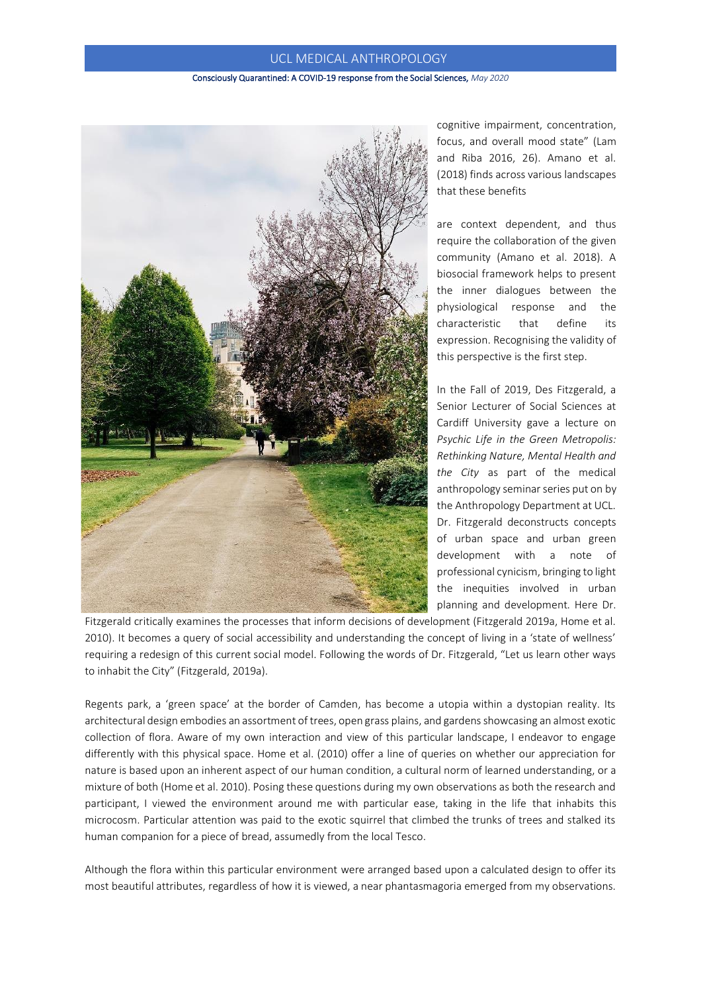#### Consciously Quarantined: A COVID-19 response from the Social Sciences, *May 2020*



cognitive impairment, concentration, focus, and overall mood state" (Lam and Riba 2016, 26). Amano et al. (2018) finds across various landscapes that these benefits

are context dependent, and thus require the collaboration of the given community (Amano et al. 2018). A biosocial framework helps to present the inner dialogues between the physiological response and the characteristic that define its expression. Recognising the validity of this perspective is the first step.

In the Fall of 2019, Des Fitzgerald, a Senior Lecturer of Social Sciences at Cardiff University gave a lecture on *Psychic Life in the Green Metropolis: Rethinking Nature, Mental Health and the City* as part of the medical anthropology seminar series put on by the Anthropology Department at UCL. Dr. Fitzgerald deconstructs concepts of urban space and urban green development with a note of professional cynicism, bringing to light the inequities involved in urban planning and development. Here Dr.

Fitzgerald critically examines the processes that inform decisions of development (Fitzgerald 2019a, Home et al. 2010). It becomes a query of social accessibility and understanding the concept of living in a 'state of wellness' requiring a redesign of this current social model. Following the words of Dr. Fitzgerald, "Let us learn other ways to inhabit the City" (Fitzgerald, 2019a).

Regents park, a 'green space' at the border of Camden, has become a utopia within a dystopian reality. Its architectural design embodies an assortment of trees, open grass plains, and gardens showcasing an almost exotic collection of flora. Aware of my own interaction and view of this particular landscape, I endeavor to engage differently with this physical space. Home et al. (2010) offer a line of queries on whether our appreciation for nature is based upon an inherent aspect of our human condition, a cultural norm of learned understanding, or a mixture of both (Home et al. 2010). Posing these questions during my own observations as both the research and participant, I viewed the environment around me with particular ease, taking in the life that inhabits this microcosm. Particular attention was paid to the exotic squirrel that climbed the trunks of trees and stalked its human companion for a piece of bread, assumedly from the local Tesco.

Although the flora within this particular environment were arranged based upon a calculated design to offer its most beautiful attributes, regardless of how it is viewed, a near phantasmagoria emerged from my observations.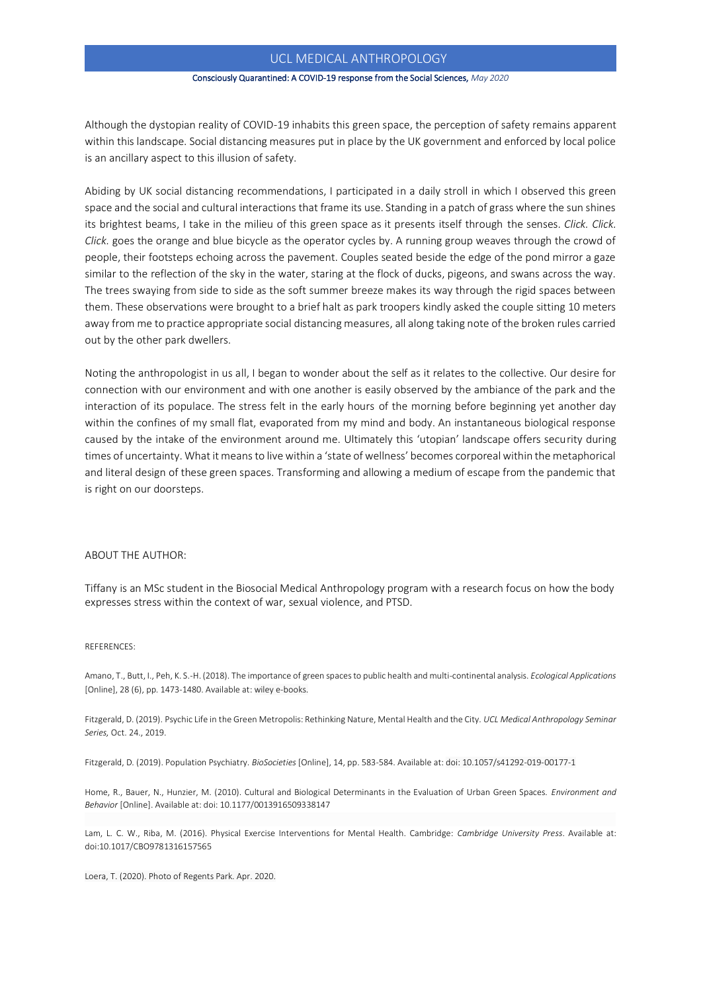#### Consciously Quarantined: A COVID-19 response from the Social Sciences, *May 2020*

Although the dystopian reality of COVID-19 inhabits this green space, the perception of safety remains apparent within this landscape. Social distancing measures put in place by the UK government and enforced by local police is an ancillary aspect to this illusion of safety.

Abiding by UK social distancing recommendations, I participated in a daily stroll in which I observed this green space and the social and cultural interactions that frame its use. Standing in a patch of grass where the sun shines its brightest beams, I take in the milieu of this green space as it presents itself through the senses. *Click. Click. Click.* goes the orange and blue bicycle as the operator cycles by. A running group weaves through the crowd of people, their footsteps echoing across the pavement. Couples seated beside the edge of the pond mirror a gaze similar to the reflection of the sky in the water, staring at the flock of ducks, pigeons, and swans across the way. The trees swaying from side to side as the soft summer breeze makes its way through the rigid spaces between them. These observations were brought to a brief halt as park troopers kindly asked the couple sitting 10 meters away from me to practice appropriate social distancing measures, all along taking note of the broken rules carried out by the other park dwellers.

Noting the anthropologist in us all, I began to wonder about the self as it relates to the collective. Our desire for connection with our environment and with one another is easily observed by the ambiance of the park and the interaction of its populace. The stress felt in the early hours of the morning before beginning yet another day within the confines of my small flat, evaporated from my mind and body. An instantaneous biological response caused by the intake of the environment around me. Ultimately this 'utopian' landscape offers security during times of uncertainty. What it means to live within a 'state of wellness' becomes corporeal within the metaphorical and literal design of these green spaces. Transforming and allowing a medium of escape from the pandemic that is right on our doorsteps.

#### ABOUT THE AUTHOR:

Tiffany is an MSc student in the Biosocial Medical Anthropology program with a research focus on how the body expresses stress within the context of war, sexual violence, and PTSD.

#### REFERENCES:

Amano, T., Butt, I., Peh, K. S.-H. (2018). The importance of green spaces to public health and multi-continental analysis. *Ecological Applications*  [Online], 28 (6), pp. 1473-1480. Available at: wiley e-books.

Fitzgerald, D. (2019). Psychic Life in the Green Metropolis: Rethinking Nature, Mental Health and the City*. UCL Medical Anthropology Seminar Series,* Oct. 24., 2019.

Fitzgerald, D. (2019). Population Psychiatry. *BioSocieties* [Online], 14, pp. 583-584. Available at: doi: 10.1057/s41292-019-00177-1

Home, R., Bauer, N., Hunzier, M. (2010). Cultural and Biological Determinants in the Evaluation of Urban Green Spaces. *Environment and Behavior* [Online]. Available at: doi: 10.1177/0013916509338147

Lam, L. C. W., Riba, M. (2016). Physical Exercise Interventions for Mental Health. Cambridge: *Cambridge University Press*. Available at: doi:10.1017/CBO9781316157565

Loera, T. (2020). Photo of Regents Park. Apr. 2020.